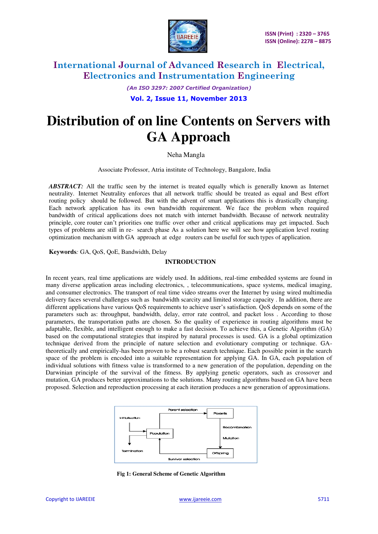

*(An ISO 3297: 2007 Certified Organization)*  **Vol. 2, Issue 11, November 2013** 

# **Distribution of on line Contents on Servers with GA Approach**

Neha Mangla

Associate Professor, Atria institute of Technology, Bangalore, India

*ABSTRACT:* All the traffic seen by the internet is treated equally which is generally known as Internet neutrality. Internet Neutrality enforces that all network traffic should be treated as equal and Best effort routing policy should be followed. But with the advent of smart applications this is drastically changing. Each network application has its own bandwidth requirement. We face the problem when required bandwidth of critical applications does not match with internet bandwidth. Because of network neutrality principle, core router can't priorities one traffic over other and critical applications may get impacted. Such types of problems are still in re- search phase As a solution here we will see how application level routing optimization mechanism with GA approach at edge routers can be useful for such types of application.

**Keywords***:* GA, QoS, QoE, Bandwidth, Delay

#### **INTRODUCTION**

In recent years, real time applications are widely used. In additions, real-time embedded systems are found in many diverse application areas including electronics, , telecommunications, space systems, medical imaging, and consumer electronics. The transport of real time video streams over the Internet by using wired multimedia delivery faces several challenges such as bandwidth scarcity and limited storage capacity . In addition, there are different applications have various QoS requirements to achieve user's satisfaction. QoS depends on some of the parameters such as: throughput, bandwidth, delay, error rate control, and packet loss . According to those parameters, the transportation paths are chosen. So the quality of experience in routing algorithms must be adaptable, flexible, and intelligent enough to make a fast decision. To achieve this, a Genetic Algorithm (GA) based on the computational strategies that inspired by natural processes is used. GA is a global optimization technique derived from the principle of nature selection and evolutionary computing or technique. GAtheoretically and empirically-has been proven to be a robust search technique. Each possible point in the search space of the problem is encoded into a suitable representation for applying GA. In GA, each population of individual solutions with fitness value is transformed to a new generation of the population, depending on the Darwinian principle of the survival of the fitness. By applying genetic operators, such as crossover and mutation, GA produces better approximations to the solutions. Many routing algorithms based on GA have been proposed. Selection and reproduction processing at each iteration produces a new generation of approximations.



**Fig 1: General Scheme of Genetic Algorithm**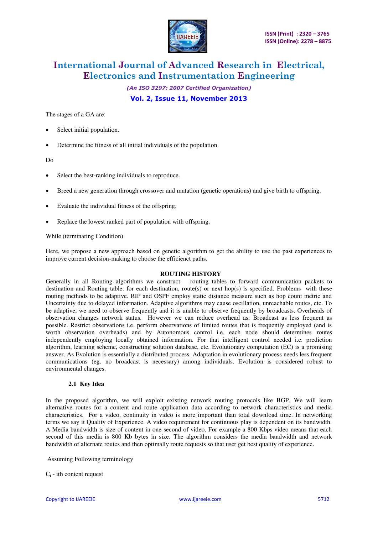

*(An ISO 3297: 2007 Certified Organization)* 

**Vol. 2, Issue 11, November 2013** 

The stages of a GA are:

- Select initial population.
- Determine the fitness of all initial individuals of the population

Do

- Select the best-ranking individuals to reproduce.
- Breed a new generation through crossover and mutation (genetic operations) and give birth to offspring.
- Evaluate the individual fitness of the offspring.
- Replace the lowest ranked part of population with offspring.

While (terminating Condition)

Here, we propose a new approach based on genetic algorithm to get the ability to use the past experiences to improve current decision-making to choose the efficienct paths.

#### **ROUTING HISTORY**

Generally in all Routing algorithms we construct routing tables to forward communication packets to destination and Routing table: for each destination, route(s) or next hop(s) is specified. Problems with these routing methods to be adaptive. RIP and OSPF employ static distance measure such as hop count metric and Uncertainty due to delayed information. Adaptive algorithms may cause oscillation, unreachable routes, etc. To be adaptive, we need to observe frequently and it is unable to observe frequently by broadcasts. Overheads of observation changes network status. However we can reduce overhead as: Broadcast as less frequent as possible. Restrict observations i.e. perform observations of limited routes that is frequently employed (and is worth observation overheads) and by Autonomous control i.e. each node should determines routes independently employing locally obtained information. For that intelligent control needed i.e. prediction algorithm, learning scheme, constructing solution database, etc. Evolutionary computation (EC) is a promising answer. As Evolution is essentially a distributed process. Adaptation in evolutionary process needs less frequent communications (eg. no broadcast is necessary) among individuals. Evolution is considered robust to environmental changes.

#### **2.1 Key Idea**

In the proposed algorithm, we will exploit existing network routing protocols like BGP. We will learn alternative routes for a content and route application data according to network characteristics and media characteristics. For a video, continuity in video is more important than total download time. In networking terms we say it Quality of Experience. A video requirement for continuous play is dependent on its bandwidth. A Media bandwidth is size of content in one second of video. For example a 800 Kbps video means that each second of this media is 800 Kb bytes in size. The algorithm considers the media bandwidth and network bandwidth of alternate routes and then optimally route requests so that user get best quality of experience.

Assuming Following terminology

 $C_i$  - ith content request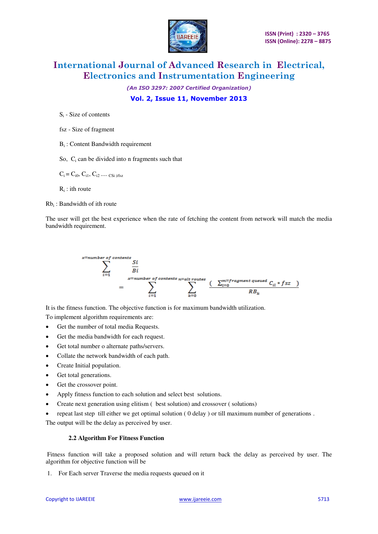

*(An ISO 3297: 2007 Certified Organization)*  **Vol. 2, Issue 11, November 2013** 

 $S_i$  - Size of contents

fsz - Size of fragment

Bi : Content Bandwidth requirement

So,  $C_i$  can be divided into n fragments such that

 $C_i = C_{i0}, C_{i1}, C_{i2}, \dots, C_{Si \text{ } Vfsz}$ 

 $R_i$ : ith route

 $Rb_i$ : Bandwidth of ith route

The user will get the best experience when the rate of fetching the content from network will match the media bandwidth requirement.



To implement algorithm requirements are:

- Get the number of total media Requests.
- Get the media bandwidth for each request.
- Get total number o alternate paths/servers.
- Collate the network bandwidth of each path.
- Create Initial population.
- Get total generations.
- Get the crossover point.
- Apply fitness function to each solution and select best solutions.
- Create next generation using elitism ( best solution) and crossover ( solutions)
- repeat last step till either we get optimal solution ( 0 delay ) or till maximum number of generations .

The output will be the delay as perceived by user.

#### **2.2 Algorithm For Fitness Function**

Fitness function will take a proposed solution and will return back the delay as perceived by user. The algorithm for objective function will be

1. For Each server Traverse the media requests queued on it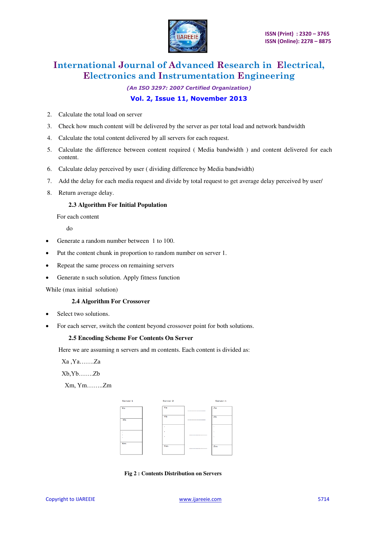

*(An ISO 3297: 2007 Certified Organization)* 

#### **Vol. 2, Issue 11, November 2013**

- 2. Calculate the total load on server
- 3. Check how much content will be delivered by the server as per total load and network bandwidth
- 4. Calculate the total content delivered by all servers for each request.
- 5. Calculate the difference between content required ( Media bandwidth ) and content delivered for each content.
- 6. Calculate delay perceived by user ( dividing difference by Media bandwidth)
- 7. Add the delay for each media request and divide by total request to get average delay perceived by user/
- 8. Return average delay.

#### **2.3 Algorithm For Initial Population**

For each content

do

- Generate a random number between 1 to 100.
- Put the content chunk in proportion to random number on server 1.
- Repeat the same process on remaining servers
- Generate n such solution. Apply fitness function

While (max initial solution)

#### **2.4 Algorithm For Crossover**

- Select two solutions.
- For each server, switch the content beyond crossover point for both solutions.

#### **2.5 Encoding Scheme For Contents On Server**

Here we are assuming n servers and m contents. Each content is divided as:

Xa ,Ya…….Za

Xb,Yb…….Zb

Xm, Ym……..Zm



 **Fig 2 : Contents Distribution on Servers**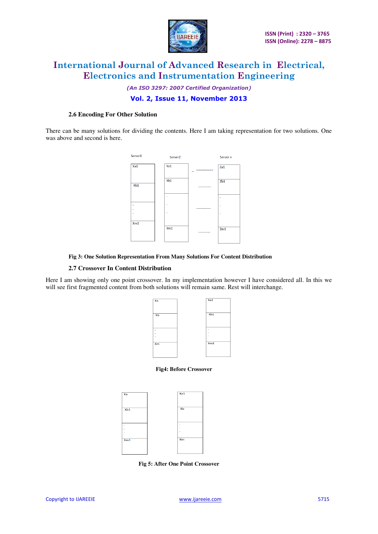

## *(An ISO 3297: 2007 Certified Organization)*

### **Vol. 2, Issue 11, November 2013**

#### **2.6 Encoding For Other Solution**

There can be many solutions for dividing the contents. Here I am taking representation for two solutions. One was above and second is here.



#### **Fig 3: One Solution Representation From Many Solutions For Content Distribution**

#### **2.7 Crossover In Content Distribution**

Here I am showing only one point crossover. In my implementation however I have considered all. In this we will see first fragmented content from both solutions will remain same. Rest will interchange.



#### **Fig4: Before Crossover**



 **Fig 5: After One Point Crossover**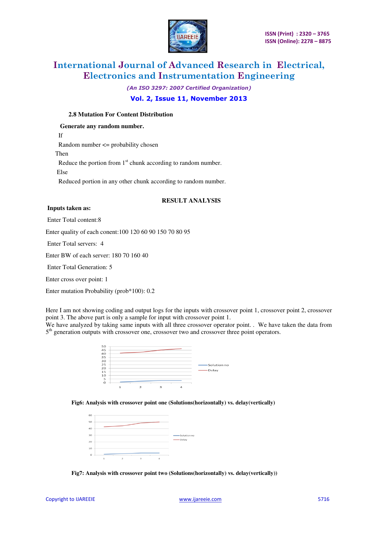

*(An ISO 3297: 2007 Certified Organization)* 

#### **Vol. 2, Issue 11, November 2013**

#### **2.8 Mutation For Content Distribution**

 **Generate any random number.**  If Random number <= probability chosen Then Reduce the portion from  $1<sup>st</sup>$  chunk according to random number. Else Reduced portion in any other chunk according to random number.

#### **RESULT ANALYSIS**

#### **Inputs taken as:**

Enter Total content:8

Enter quality of each conent:100 120 60 90 150 70 80 95

Enter Total servers: 4

Enter BW of each server: 180 70 160 40

Enter Total Generation: 5

Enter cross over point: 1

Enter mutation Probability (prob\*100): 0.2

Here I am not showing coding and output logs for the inputs with crossover point 1, crossover point 2, crossover point 3. The above part is only a sample for input with crossover point 1.

We have analyzed by taking same inputs with all three crossover operator point. . We have taken the data from 5<sup>th</sup> generation outputs with crossover one, crossover two and crossover three point operators.



#### **Fig6: Analysis with crossover point one (Solutions(horizontally) vs. delay(vertically)**



 **Fig7: Analysis with crossover point two (Solutions(horizontally) vs. delay(vertically))**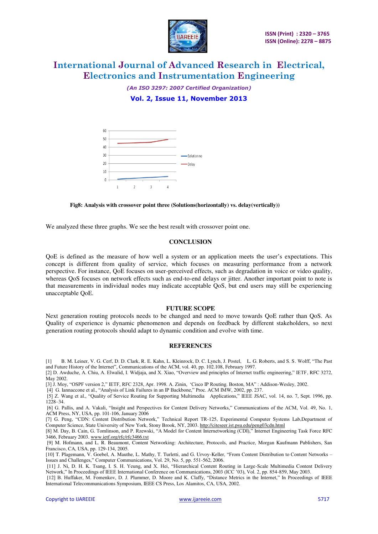

*(An ISO 3297: 2007 Certified Organization)*  **Vol. 2, Issue 11, November 2013** 



#### **Fig8: Analysis with crossover point three (Solutions(horizontally) vs. delay(vertically))**

We analyzed these three graphs. We see the best result with crossover point one.

#### **CONCLUSION**

QoE is defined as the measure of how well a system or an application meets the user's expectations. This concept is different from quality of service, which focuses on measuring performance from a network perspective. For instance, QoE focuses on user-perceived effects, such as degradation in voice or video quality, whereas QoS focuses on network effects such as end-to-end delays or jitter. Another important point to note is that measurements in individual nodes may indicate acceptable QoS, but end users may still be experiencing unacceptable QoE.

#### **FUTURE SCOPE**

Next generation routing protocols needs to be changed and need to move towards QoE rather than QoS. As Quality of experience is dynamic phenomenon and depends on feedback by different stakeholders, so next generation routing protocols should adapt to dynamic condition and evolve with time.

#### **REFERENCES**

[1] B. M. Leiner, V. G. Cerf, D. D. Clark, R. E. Kahn, L. Kleinrock, D. C. Lynch, J. Postel, L. G. Roberts, and S. S. Wolff, "The Past and Future History of the Internet", Communications of the ACM, vol. 40, pp. 102.108, February 1997.

[2] D. Awduche, A. Chiu, A. Elwalid, I. Widjaja, and X. Xiao, "Overview and principles of Internet traffic engineering," IETF, RFC 3272, May 2002.

[3] J. Moy, "OSPF version 2," IETF, RFC 2328, Apr. 1998. A. Zinin, 'Cisco IP Routing. Boston, MA" : Addison-Wesley, 2002.

[4] G. Iannaccone et al., "Analysis of Link Failures in an IP Backbone," Proc. ACM IMW, 2002, pp. 237.

[5] Z. Wang et al., "Quality of Service Routing for Supporting Multimedia Applications," IEEE JSAC, vol. 14, no. 7, Sept. 1996, pp. 1228–34.

[6] G. Pallis, and A. Vakali, "Insight and Perspectives for Content Delivery Networks," Communications of the ACM, Vol. 49, No. 1, ACM Press, NY, USA, pp. 101-106, January 2006

[7] G. Peng, "CDN: Content Distribution Network," Technical Report TR-125, Experimental Computer Systems Lab,Department of Computer Science, State University of New York, Stony Brook, NY, 2003.<http://citeseer.ist.psu.edu/peng03cdn.html>

[8] M. Day, B. Cain, G. Tomlinson, and P. Rzewski, "A Model for Content Internetworking (CDI)," Internet Engineering Task Force RFC 3466, February 2003. [www.ietf.org/rfc/rfc3466.txt](http://www.ietf.org/rfc/rfc3466.txt)

[9] M. Hofmann, and L. R. Beaumont, Content Networking: Architecture, Protocols, and Practice, Morgan Kaufmann Publishers, San Francisco, CA, USA, pp. 129-134, 2005.

[10] T. Plagemann, V. Goebel, A. Mauthe, L. Mathy, T. Turletti, and G. Urvoy-Keller, "From Content Distribution to Content Networks – Issues and Challenges," Computer Communications, Vol. 29, No. 5, pp. 551-562, 2006.

 [11] J. Ni, D. H. K. Tsang, I. S. H. Yeung, and X. Hei, "Hierarchical Content Routing in Large-Scale Multimedia Content Delivery Network," In Proceedings of IEEE International Conference on Communications, 2003 (ICC '03), Vol. 2, pp. 854-859, May 2003.

[12] B. Huffaker, M. Fomenkov, D. J. Plummer, D. Moore and K. Claffy, "Distance Metrics in the Internet," In Proceedings of IEEE International Telecommunications Symposium, IEEE CS Press, Los Alamitos, CA, USA, 2002.